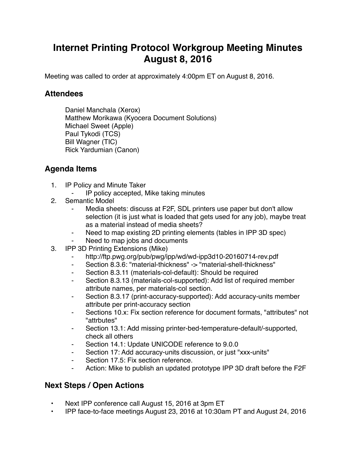## **Internet Printing Protocol Workgroup Meeting Minutes August 8, 2016**

Meeting was called to order at approximately 4:00pm ET on August 8, 2016.

## **Attendees**

Daniel Manchala (Xerox) Matthew Morikawa (Kyocera Document Solutions) Michael Sweet (Apple) Paul Tykodi (TCS) Bill Wagner (TIC) Rick Yardumian (Canon)

## **Agenda Items**

- 1. IP Policy and Minute Taker
	- IP policy accepted, Mike taking minutes
- 2. Semantic Model
	- Media sheets: discuss at F2F, SDL printers use paper but don't allow selection (it is just what is loaded that gets used for any job), maybe treat as a material instead of media sheets?
	- Need to map existing 2D printing elements (tables in IPP 3D spec)
	- Need to map jobs and documents
- 3. IPP 3D Printing Extensions (Mike)
	- ⁃ http://ftp.pwg.org/pub/pwg/ipp/wd/wd-ipp3d10-20160714-rev.pdf
	- ⁃ Section 8.3.6: "material-thickness" -> "material-shell-thickness"
	- ⁃ Section 8.3.11 (materials-col-default): Should be required
	- Section 8.3.13 (materials-col-supported): Add list of required member attribute names, per materials-col section.
	- ⁃ Section 8.3.17 (print-accuracy-supported): Add accuracy-units member attribute per print-accuracy section
	- Sections 10.x: Fix section reference for document formats, "attributes" not "attrbutes"
	- Section 13.1: Add missing printer-bed-temperature-default/-supported, check all others
	- ⁃ Section 14.1: Update UNICODE reference to 9.0.0
	- Section 17: Add accuracy-units discussion, or just "xxx-units"
	- ⁃ Section 17.5: Fix section reference.
	- Action: Mike to publish an updated prototype IPP 3D draft before the F2F

## **Next Steps / Open Actions**

- Next IPP conference call August 15, 2016 at 3pm ET
- IPP face-to-face meetings August 23, 2016 at 10:30am PT and August 24, 2016